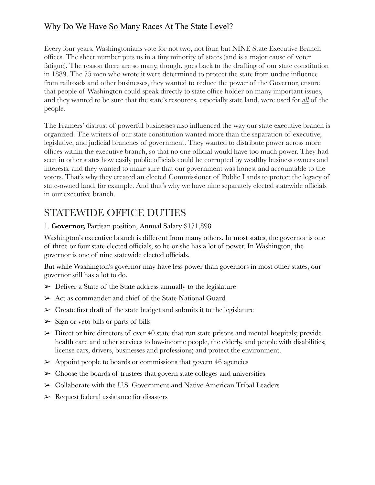# Why Do We Have So Many Races At The State Level?

Every four years, Washingtonians vote for not two, not four, but NINE State Executive Branch offices. The sheer number puts us in a tiny minority of states (and is a major cause of voter fatigue). The reason there are so many, though, goes back to the drafting of our state constitution in 1889. The 75 men who wrote it were determined to protect the state from undue influence from railroads and other businesses, they wanted to reduce the power of the Governor, ensure that people of Washington could speak directly to state office holder on many important issues, and they wanted to be sure that the state's resources, especially state land, were used for *all* of the people.

The Framers' distrust of powerful businesses also influenced the way our state executive branch is organized. The writers of our state constitution wanted more than the separation of executive, legislative, and judicial branches of government. They wanted to distribute power across more offices within the executive branch, so that no one official would have too much power. They had seen in other states how easily public officials could be corrupted by wealthy business owners and interests, and they wanted to make sure that our government was honest and accountable to the voters. That's why they created an elected Commissioner of Public Lands to protect the legacy of state-owned land, for example. And that's why we have nine separately elected statewide officials in our executive branch.

# STATEWIDE OFFICE DUTIES

#### 1. **Governor,** Partisan position, Annual Salary \$171,898

Washington's executive branch is different from many others. In most states, the governor is one of three or four state elected officials, so he or she has a lot of power. In Washington, the governor is one of nine statewide elected officials.

But while Washington's governor may have less power than governors in most other states, our governor still has a lot to do.

- $\triangleright$  Deliver a State of the State address annually to the legislature
- ➢ Act as commander and chief of the State National Guard
- $\triangleright$  Create first draft of the state budget and submits it to the legislature
- $\geq$  Sign or veto bills or parts of bills
- $\triangleright$  Direct or hire directors of over 40 state that run state prisons and mental hospitals; provide health care and other services to low-income people, the elderly, and people with disabilities; license cars, drivers, businesses and professions; and protect the environment.
- $\geq$  Appoint people to boards or commissions that govern 46 agencies
- $\triangleright$  Choose the boards of trustees that govern state colleges and universities
- ➢ Collaborate with the U.S. Government and Native American Tribal Leaders
- $\triangleright$  Request federal assistance for disasters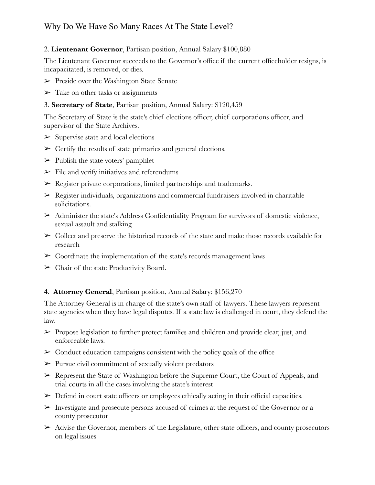# Why Do We Have So Many Races At The State Level?

#### 2. **Lieutenant Governor**, Partisan position, Annual Salary \$100,880

The Lieutenant Governor succeeds to the Governor's office if the current officeholder resigns, is incapacitated, is removed, or dies.

- $\triangleright$  Preside over the Washington State Senate
- $\triangleright$  Take on other tasks or assignments

#### 3. **Secretary of State**, Partisan position, Annual Salary: \$120,459

The Secretary of State is the state's chief elections officer, chief corporations officer, and supervisor of the State Archives.

- $\triangleright$  Supervise state and local elections
- $\triangleright$  Certify the results of state primaries and general elections.
- $\triangleright$  Publish the state voters' pamphlet
- $\triangleright$  File and verify initiatives and referendums
- $\triangleright$  Register private corporations, limited partnerships and trademarks.
- $\triangleright$  Register individuals, organizations and commercial fundraisers involved in charitable solicitations.
- $\triangleright$  Administer the state's Address Confidentiality Program for survivors of domestic violence, sexual assault and stalking
- $\triangleright$  Collect and preserve the historical records of the state and make those records available for research
- $\triangleright$  Coordinate the implementation of the state's records management laws
- $\triangleright$  Chair of the state Productivity Board.

#### 4. **Attorney General**, Partisan position, Annual Salary: \$156,270

The Attorney General is in charge of the state's own staff of lawyers. These lawyers represent state agencies when they have legal disputes. If a state law is challenged in court, they defend the law.

- $\triangleright$  Propose legislation to further protect families and children and provide clear, just, and enforceable laws.
- $\triangleright$  Conduct education campaigns consistent with the policy goals of the office
- $\triangleright$  Pursue civil commitment of sexually violent predators
- ➢ Represent the State of Washington before the Supreme Court, the Court of Appeals, and trial courts in all the cases involving the state's interest
- $\triangleright$  Defend in court state officers or employees ethically acting in their official capacities.
- $\triangleright$  Investigate and prosecute persons accused of crimes at the request of the Governor or a county prosecutor
- $\triangleright$  Advise the Governor, members of the Legislature, other state officers, and county prosecutors on legal issues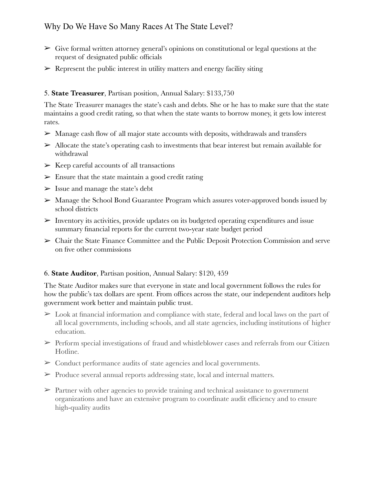- $\triangleright$  Give formal written attorney general's opinions on constitutional or legal questions at the request of designated public officials
- $\triangleright$  Represent the public interest in utility matters and energy facility siting

#### 5. **State Treasurer**, Partisan position, Annual Salary: \$133,750

The State Treasurer manages the state's cash and debts. She or he has to make sure that the state maintains a good credit rating, so that when the state wants to borrow money, it gets low interest rates.

- ➢ Manage cash flow of all major state accounts with deposits, withdrawals and transfers
- $\triangleright$  Allocate the state's operating cash to investments that bear interest but remain available for withdrawal
- $\triangleright$  Keep careful accounts of all transactions
- $\triangleright$  Ensure that the state maintain a good credit rating
- $>$  Issue and manage the state's debt
- $\triangleright$  Manage the School Bond Guarantee Program which assures voter-approved bonds issued by school districts
- $\triangleright$  Inventory its activities, provide updates on its budgeted operating expenditures and issue summary financial reports for the current two-year state budget period
- ➢ Chair the State Finance Committee and the Public Deposit Protection Commission and serve on five other commissions

#### 6. **State Auditor**, Partisan position, Annual Salary: \$120, 459

The State Auditor makes sure that everyone in state and local government follows the rules for how the public's tax dollars are spent. From offices across the state, our independent auditors help government work better and maintain public trust.

- $\geq$  Look at financial information and compliance with state, federal and local laws on the part of all local governments, including schools, and all state agencies, including institutions of higher education.
- $\triangleright$  Perform special investigations of fraud and whistleblower cases and referrals from our Citizen Hotline.
- $\triangleright$  Conduct performance audits of state agencies and local governments.
- $\triangleright$  Produce several annual reports addressing state, local and internal matters.
- $\triangleright$  Partner with other agencies to provide training and technical assistance to government organizations and have an extensive program to coordinate audit efficiency and to ensure high-quality audits